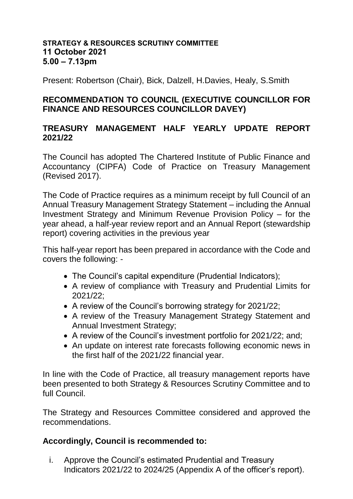## **STRATEGY & RESOURCES SCRUTINY COMMITTEE 11 October 2021 5.00 – 7.13pm**

Present: Robertson (Chair), Bick, Dalzell, H.Davies, Healy, S.Smith

## **RECOMMENDATION TO COUNCIL (EXECUTIVE COUNCILLOR FOR FINANCE AND RESOURCES COUNCILLOR DAVEY)**

## **TREASURY MANAGEMENT HALF YEARLY UPDATE REPORT 2021/22**

The Council has adopted The Chartered Institute of Public Finance and Accountancy (CIPFA) Code of Practice on Treasury Management (Revised 2017).

The Code of Practice requires as a minimum receipt by full Council of an Annual Treasury Management Strategy Statement – including the Annual Investment Strategy and Minimum Revenue Provision Policy – for the year ahead, a half-year review report and an Annual Report (stewardship report) covering activities in the previous year

This half-year report has been prepared in accordance with the Code and covers the following: -

- The Council's capital expenditure (Prudential Indicators);
- A review of compliance with Treasury and Prudential Limits for 2021/22;
- A review of the Council's borrowing strategy for 2021/22;
- A review of the Treasury Management Strategy Statement and Annual Investment Strategy;
- A review of the Council's investment portfolio for 2021/22; and;
- An update on interest rate forecasts following economic news in the first half of the 2021/22 financial year.

In line with the Code of Practice, all treasury management reports have been presented to both Strategy & Resources Scrutiny Committee and to full Council.

The Strategy and Resources Committee considered and approved the recommendations.

## **Accordingly, Council is recommended to:**

i. Approve the Council's estimated Prudential and Treasury Indicators 2021/22 to 2024/25 (Appendix A of the officer's report).